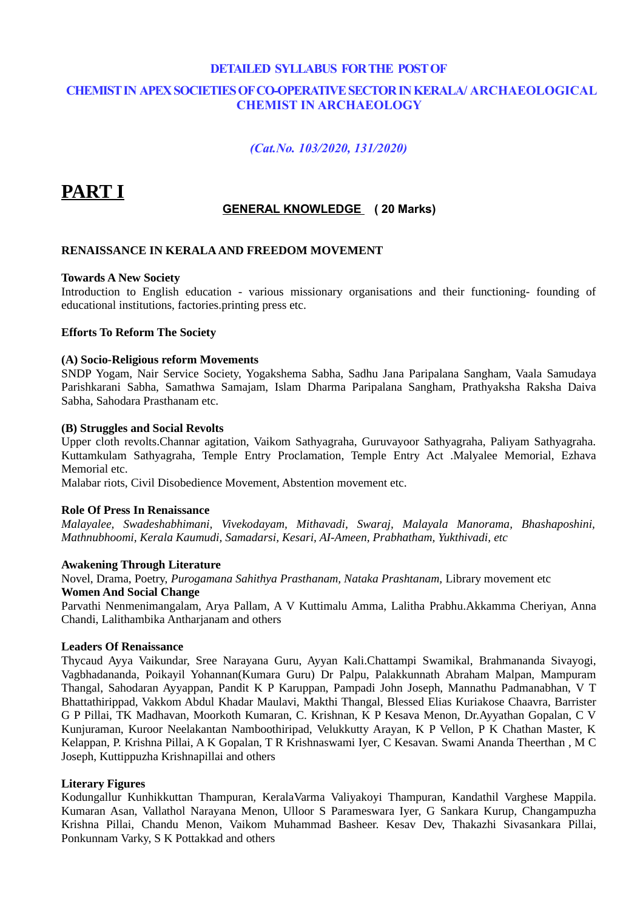### **DETAILED SYLLABUS FOR THE POST OF CHEMIST IN APEX SOCIETIES OF CO-OPERATIVE SECTOR IN KERALA/ ARCHAEOLOGICAL CHEMIST IN ARCHAEOLOGY**

### *(Cat.No. 103/2020, 131/2020)*

# **PART I**

### **GENERAL KNOWLEDGE ( 20 Marks)**

#### **RENAISSANCE IN KERALA AND FREEDOM MOVEMENT**

#### **Towards A New Society**

Introduction to English education - various missionary organisations and their functioning- founding of educational institutions, factories.printing press etc.

#### **Efforts To Reform The Society**

#### **(A) Socio-Religious reform Movements**

SNDP Yogam, Nair Service Society, Yogakshema Sabha, Sadhu Jana Paripalana Sangham, Vaala Samudaya Parishkarani Sabha, Samathwa Samajam, Islam Dharma Paripalana Sangham, Prathyaksha Raksha Daiva Sabha, Sahodara Prasthanam etc.

#### **(B) Struggles and Social Revolts**

Upper cloth revolts.Channar agitation, Vaikom Sathyagraha, Guruvayoor Sathyagraha, Paliyam Sathyagraha. Kuttamkulam Sathyagraha, Temple Entry Proclamation, Temple Entry Act .Malyalee Memorial, Ezhava Memorial etc.

Malabar riots, Civil Disobedience Movement, Abstention movement etc.

#### **Role Of Press In Renaissance**

*Malayalee, Swadeshabhimani, Vivekodayam, Mithavadi, Swaraj, Malayala Manorama, Bhashaposhini, Mathnubhoomi, Kerala Kaumudi, Samadarsi, Kesari, AI-Ameen, Prabhatham, Yukthivadi, etc*

#### **Awakening Through Literature**

Novel, Drama, Poetry, *Purogamana Sahithya Prasthanam, Nataka Prashtanam,* Library movement etc **Women And Social Change**

Parvathi Nenmenimangalam, Arya Pallam, A V Kuttimalu Amma, Lalitha Prabhu.Akkamma Cheriyan, Anna Chandi, Lalithambika Antharjanam and others

#### **Leaders Of Renaissance**

Thycaud Ayya Vaikundar, Sree Narayana Guru, Ayyan Kali.Chattampi Swamikal, Brahmananda Sivayogi, Vagbhadananda, Poikayil Yohannan(Kumara Guru) Dr Palpu, Palakkunnath Abraham Malpan, Mampuram Thangal, Sahodaran Ayyappan, Pandit K P Karuppan, Pampadi John Joseph, Mannathu Padmanabhan, V T Bhattathirippad, Vakkom Abdul Khadar Maulavi, Makthi Thangal, Blessed Elias Kuriakose Chaavra, Barrister G P Pillai, TK Madhavan, Moorkoth Kumaran, C. Krishnan, K P Kesava Menon, Dr.Ayyathan Gopalan, C V Kunjuraman, Kuroor Neelakantan Namboothiripad, Velukkutty Arayan, K P Vellon, P K Chathan Master, K Kelappan, P. Krishna Pillai, A K Gopalan, T R Krishnaswami Iyer, C Kesavan. Swami Ananda Theerthan , M C Joseph, Kuttippuzha Krishnapillai and others

#### **Literary Figures**

Kodungallur Kunhikkuttan Thampuran, KeralaVarma Valiyakoyi Thampuran, Kandathil Varghese Mappila. Kumaran Asan, Vallathol Narayana Menon, Ulloor S Parameswara Iyer, G Sankara Kurup, Changampuzha Krishna Pillai, Chandu Menon, Vaikom Muhammad Basheer. Kesav Dev, Thakazhi Sivasankara Pillai, Ponkunnam Varky, S K Pottakkad and others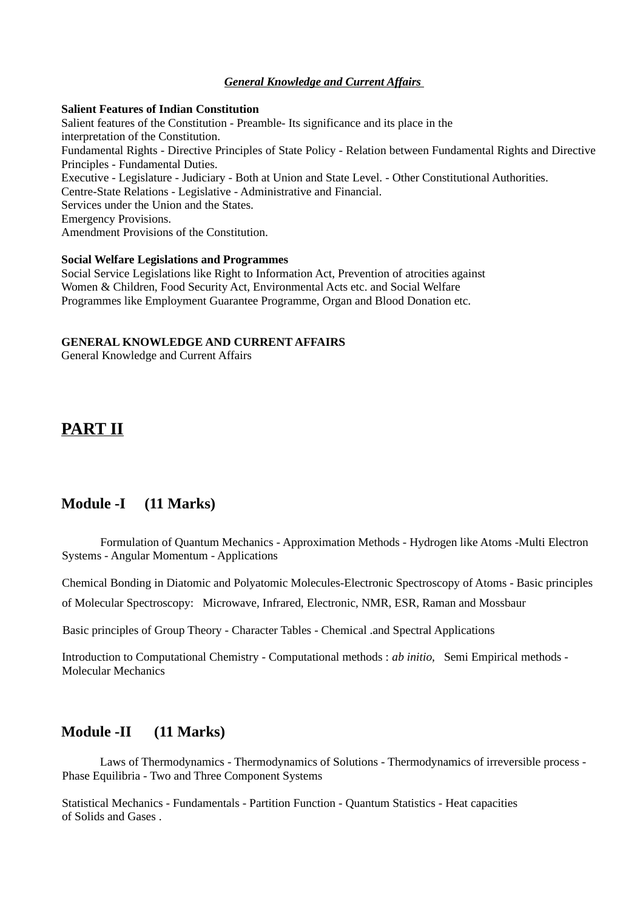#### *General Knowledge and Current Affairs*

#### **Salient Features of Indian Constitution**

Salient features of the Constitution - Preamble- Its significance and its place in the interpretation of the Constitution. Fundamental Rights - Directive Principles of State Policy - Relation between Fundamental Rights and Directive Principles - Fundamental Duties. Executive - Legislature - Judiciary - Both at Union and State Level. - Other Constitutional Authorities. Centre-State Relations - Legislative - Administrative and Financial. Services under the Union and the States. Emergency Provisions. Amendment Provisions of the Constitution.

#### **Social Welfare Legislations and Programmes**

Social Service Legislations like Right to Information Act, Prevention of atrocities against Women & Children, Food Security Act, Environmental Acts etc. and Social Welfare Programmes like Employment Guarantee Programme, Organ and Blood Donation etc.

#### **GENERAL KNOWLEDGE AND CURRENT AFFAIRS**

General Knowledge and Current Affairs

# **PART II**

### **Module -I (11 Marks)**

Formulation of Quantum Mechanics - Approximation Methods - Hydrogen like Atoms -Multi Electron Systems - Angular Momentum - Applications

Chemical Bonding in Diatomic and Polyatomic Molecules-Electronic Spectroscopy of Atoms - Basic principles of Molecular Spectroscopy: Microwave, Infrared, Electronic, NMR, ESR, Raman and Mossbaur

Basic principles of Group Theory - Character Tables - Chemical .and Spectral Applications

Introduction to Computational Chemistry - Computational methods : *ab initio,* Semi Empirical methods - Molecular Mechanics

### **Module -II (11 Marks)**

Laws of Thermodynamics - Thermodynamics of Solutions - Thermodynamics of irreversible process - Phase Equilibria - Two and Three Component Systems

Statistical Mechanics - Fundamentals - Partition Function - Quantum Statistics - Heat capacities of Solids and Gases .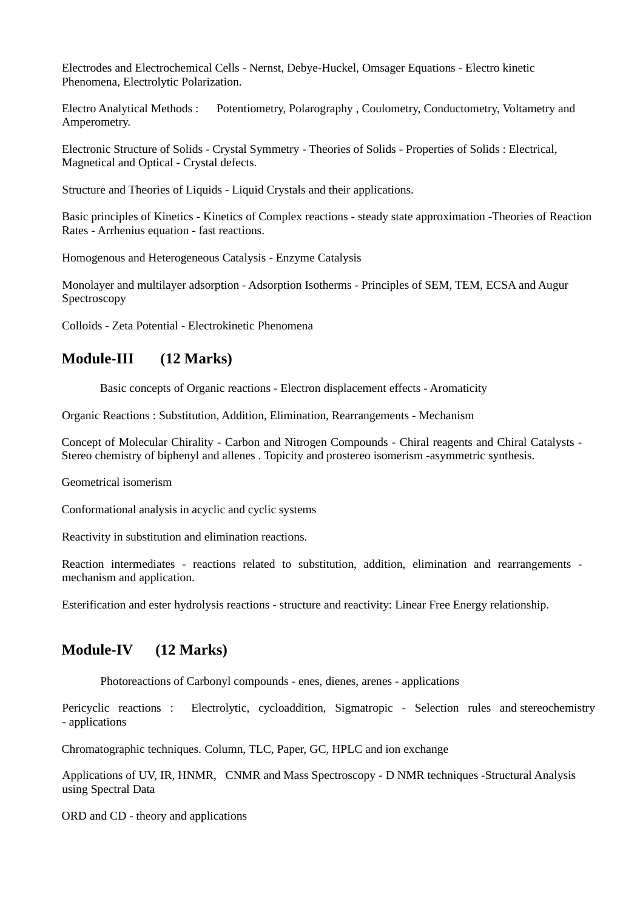Electrodes and Electrochemical Cells - Nernst, Debye-Huckel, Omsager Equations - Electro kinetic Phenomena, Electrolytic Polarization.

Electro Analytical Methods : Potentiometry, Polarography , Coulometry, Conductometry, Voltametry and Amperometry.

Electronic Structure of Solids - Crystal Symmetry - Theories of Solids - Properties of Solids : Electrical, Magnetical and Optical - Crystal defects.

Structure and Theories of Liquids - Liquid Crystals and their applications.

Basic principles of Kinetics - Kinetics of Complex reactions - steady state approximation -Theories of Reaction Rates - Arrhenius equation - fast reactions.

Homogenous and Heterogeneous Catalysis - Enzyme Catalysis

Monolayer and multilayer adsorption - Adsorption Isotherms - Principles of SEM, TEM, ECSA and Augur Spectroscopy

Colloids - Zeta Potential - Electrokinetic Phenomena

### **Module-III (12 Marks)**

Basic concepts of Organic reactions - Electron displacement effects - Aromaticity

Organic Reactions : Substitution, Addition, Elimination, Rearrangements - Mechanism

Concept of Molecular Chirality - Carbon and Nitrogen Compounds - Chiral reagents and Chiral Catalysts - Stereo chemistry of biphenyl and allenes . Topicity and prostereo isomerism -asymmetric synthesis.

Geometrical isomerism

Conformational analysis in acyclic and cyclic systems

Reactivity in substitution and elimination reactions.

Reaction intermediates - reactions related to substitution, addition, elimination and rearrangements mechanism and application.

Esterification and ester hydrolysis reactions - structure and reactivity: Linear Free Energy relationship.

### **Module-IV (12 Marks)**

Photoreactions of Carbonyl compounds - enes, dienes, arenes - applications

Pericyclic reactions : Electrolytic, cycloaddition, Sigmatropic - Selection rules and stereochemistry - applications

Chromatographic techniques*.* Column, TLC, Paper, GC, HPLC and ion exchange

Applications of UV, IR, HNMR, CNMR and Mass Spectroscopy - D NMR techniques -Structural Analysis using Spectral Data

ORD and CD - theory and applications